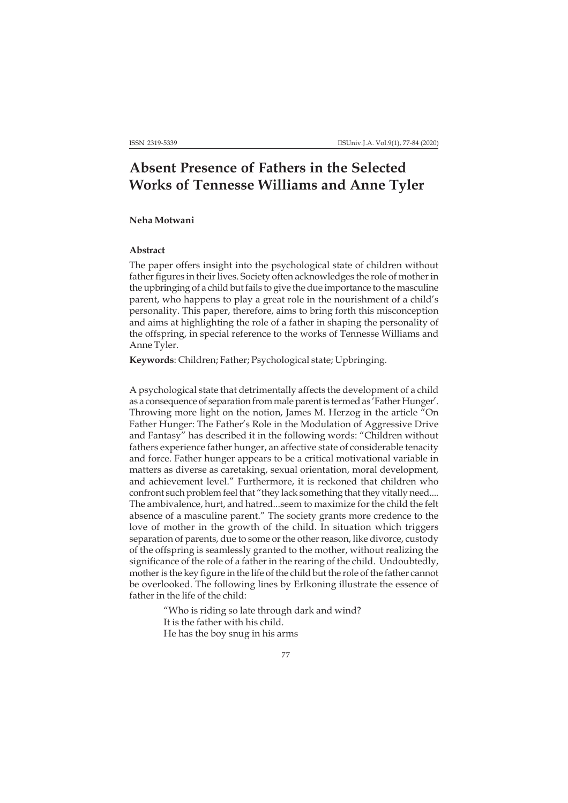# **Absent Presence of Fathers in the Selected Works of Tennesse Williams and Anne Tyler**

#### **Neha Motwani**

### **Abstract**

The paper offers insight into the psychological state of children without father figures in their lives. Society often acknowledges the role of mother in the upbringing of a child but fails to give the due importance to the masculine parent, who happens to play a great role in the nourishment of a child's personality. This paper, therefore, aims to bring forth this misconception and aims at highlighting the role of a father in shaping the personality of the offspring, in special reference to the works of Tennesse Williams and Anne Tyler.

**Keywords**: Children; Father; Psychological state; Upbringing.

A psychological state that detrimentally affects the development of a child as a consequence of separation from male parent is termed as 'Father Hunger'. Throwing more light on the notion, James M. Herzog in the article "On Father Hunger: The Father's Role in the Modulation of Aggressive Drive and Fantasy" has described it in the following words: "Children without fathers experience father hunger, an affective state of considerable tenacity and force. Father hunger appears to be a critical motivational variable in matters as diverse as caretaking, sexual orientation, moral development, and achievement level." Furthermore, it is reckoned that children who confront such problem feel that "they lack something that they vitally need.... The ambivalence, hurt, and hatred...seem to maximize for the child the felt absence of a masculine parent." The society grants more credence to the love of mother in the growth of the child. In situation which triggers separation of parents, due to some or the other reason, like divorce, custody of the offspring is seamlessly granted to the mother, without realizing the significance of the role of a father in the rearing of the child. Undoubtedly, mother is the key figure in the life of the child but the role of the father cannot be overlooked. The following lines by Erlkoning illustrate the essence of father in the life of the child:

> "Who is riding so late through dark and wind? It is the father with his child. He has the boy snug in his arms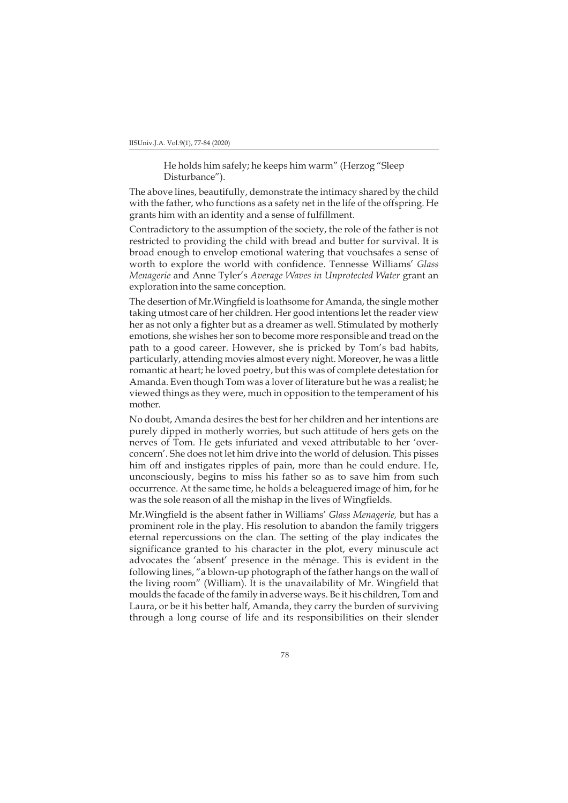IISUniv.J.A. Vol.9(1), 77-84 (2020)

He holds him safely; he keeps him warm" (Herzog "Sleep Disturbance").

The above lines, beautifully, demonstrate the intimacy shared by the child with the father, who functions as a safety net in the life of the offspring. He grants him with an identity and a sense of fulfillment.

Contradictory to the assumption of the society, the role of the father is not restricted to providing the child with bread and butter for survival. It is broad enough to envelop emotional watering that vouchsafes a sense of worth to explore the world with confidence. Tennesse Williams' *Glass Menagerie* and Anne Tyler's *Average Waves in Unprotected Water* grant an exploration into the same conception.

The desertion of Mr.Wingfield is loathsome for Amanda, the single mother taking utmost care of her children. Her good intentions let the reader view her as not only a fighter but as a dreamer as well. Stimulated by motherly emotions, she wishes her son to become more responsible and tread on the path to a good career. However, she is pricked by Tom's bad habits, particularly, attending movies almost every night. Moreover, he was a little romantic at heart; he loved poetry, but this was of complete detestation for Amanda. Even though Tom was a lover of literature but he was a realist; he viewed things as they were, much in opposition to the temperament of his mother.

No doubt, Amanda desires the best for her children and her intentions are purely dipped in motherly worries, but such attitude of hers gets on the nerves of Tom. He gets infuriated and vexed attributable to her 'overconcern'. She does not let him drive into the world of delusion. This pisses him off and instigates ripples of pain, more than he could endure. He, unconsciously, begins to miss his father so as to save him from such occurrence. At the same time, he holds a beleaguered image of him, for he was the sole reason of all the mishap in the lives of Wingfields.

Mr.Wingfield is the absent father in Williams' *Glass Menagerie,* but has a prominent role in the play. His resolution to abandon the family triggers eternal repercussions on the clan. The setting of the play indicates the significance granted to his character in the plot, every minuscule act advocates the 'absent' presence in the ménage. This is evident in the following lines, "a blown-up photograph of the father hangs on the wall of the living room" (William). It is the unavailability of Mr. Wingfield that moulds the facade of the family in adverse ways. Be it his children, Tom and Laura, or be it his better half, Amanda, they carry the burden of surviving through a long course of life and its responsibilities on their slender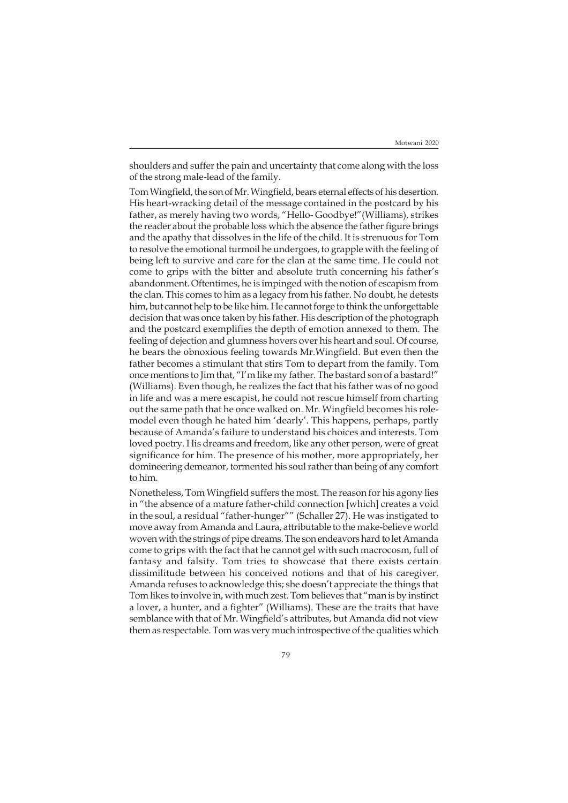shoulders and suffer the pain and uncertainty that come along with the loss of the strong male-lead of the family.

Tom Wingfield, the son of Mr. Wingfield, bears eternal effects of his desertion. His heart-wracking detail of the message contained in the postcard by his father, as merely having two words, "Hello- Goodbye!"(Williams), strikes the reader about the probable loss which the absence the father figure brings and the apathy that dissolves in the life of the child. It is strenuous for Tom to resolve the emotional turmoil he undergoes, to grapple with the feeling of being left to survive and care for the clan at the same time. He could not come to grips with the bitter and absolute truth concerning his father's abandonment. Oftentimes, he is impinged with the notion of escapism from the clan. This comes to him as a legacy from his father. No doubt, he detests him, but cannot help to be like him. He cannot forge to think the unforgettable decision that was once taken by his father. His description of the photograph and the postcard exemplifies the depth of emotion annexed to them. The feeling of dejection and glumness hovers over his heart and soul. Of course, he bears the obnoxious feeling towards Mr.Wingfield. But even then the father becomes a stimulant that stirs Tom to depart from the family. Tom once mentions to Jim that, "I'm like my father. The bastard son of a bastard!" (Williams). Even though, he realizes the fact that his father was of no good in life and was a mere escapist, he could not rescue himself from charting out the same path that he once walked on. Mr. Wingfield becomes his rolemodel even though he hated him 'dearly'. This happens, perhaps, partly because of Amanda's failure to understand his choices and interests. Tom loved poetry. His dreams and freedom, like any other person, were of great significance for him. The presence of his mother, more appropriately, her domineering demeanor, tormented his soul rather than being of any comfort to him.

Nonetheless, Tom Wingfield suffers the most. The reason for his agony lies in "the absence of a mature father-child connection [which] creates a void in the soul, a residual "father-hunger"" (Schaller 27). He was instigated to move away from Amanda and Laura, attributable to the make-believe world woven with the strings of pipe dreams. The son endeavors hard to let Amanda come to grips with the fact that he cannot gel with such macrocosm, full of fantasy and falsity. Tom tries to showcase that there exists certain dissimilitude between his conceived notions and that of his caregiver. Amanda refuses to acknowledge this; she doesn't appreciate the things that Tom likes to involve in, with much zest. Tom believes that "man is by instinct a lover, a hunter, and a fighter" (Williams). These are the traits that have semblance with that of Mr. Wingfield's attributes, but Amanda did not view them as respectable. Tom was very much introspective of the qualities which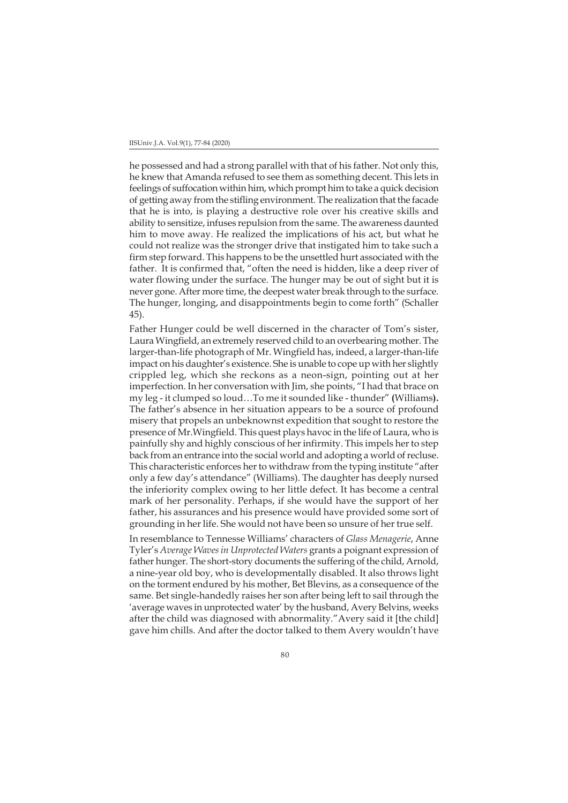he possessed and had a strong parallel with that of his father. Not only this, he knew that Amanda refused to see them as something decent. This lets in feelings of suffocation within him, which prompt him to take a quick decision of getting away from the stifling environment. The realization that the facade that he is into, is playing a destructive role over his creative skills and ability to sensitize, infuses repulsion from the same. The awareness daunted him to move away. He realized the implications of his act, but what he could not realize was the stronger drive that instigated him to take such a firm step forward. This happens to be the unsettled hurt associated with the father. It is confirmed that, "often the need is hidden, like a deep river of water flowing under the surface. The hunger may be out of sight but it is never gone. After more time, the deepest water break through to the surface. The hunger, longing, and disappointments begin to come forth" (Schaller 45).

Father Hunger could be well discerned in the character of Tom's sister, Laura Wingfield, an extremely reserved child to an overbearing mother. The larger-than-life photograph of Mr. Wingfield has, indeed, a larger-than-life impact on his daughter's existence. She is unable to cope up with her slightly crippled leg, which she reckons as a neon-sign, pointing out at her imperfection. In her conversation with Jim, she points, "I had that brace on my leg - it clumped so loud…To me it sounded like - thunder" **(**Williams**).** The father's absence in her situation appears to be a source of profound misery that propels an unbeknownst expedition that sought to restore the presence of Mr.Wingfield. This quest plays havoc in the life of Laura, who is painfully shy and highly conscious of her infirmity. This impels her to step back from an entrance into the social world and adopting a world of recluse. This characteristic enforces her to withdraw from the typing institute "after only a few day's attendance" (Williams). The daughter has deeply nursed the inferiority complex owing to her little defect. It has become a central mark of her personality. Perhaps, if she would have the support of her father, his assurances and his presence would have provided some sort of grounding in her life. She would not have been so unsure of her true self.

In resemblance to Tennesse Williams' characters of *Glass Menagerie*, Anne Tyler's *Average Waves in Unprotected Waters* grants a poignant expression of father hunger. The short-story documents the suffering of the child, Arnold, a nine-year old boy, who is developmentally disabled. It also throws light on the torment endured by his mother, Bet Blevins, as a consequence of the same. Bet single-handedly raises her son after being left to sail through the 'average waves in unprotected water' by the husband, Avery Belvins, weeks after the child was diagnosed with abnormality."Avery said it [the child] gave him chills. And after the doctor talked to them Avery wouldn't have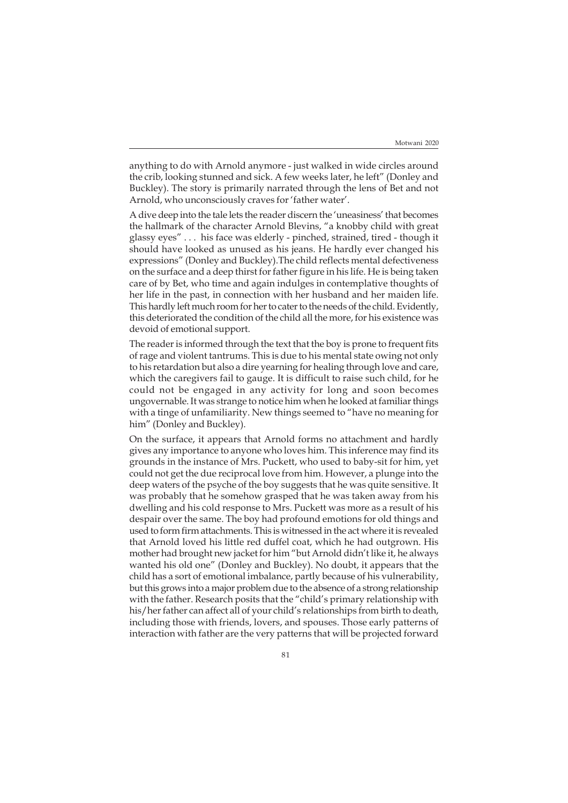anything to do with Arnold anymore - just walked in wide circles around the crib, looking stunned and sick. A few weeks later, he left" (Donley and Buckley). The story is primarily narrated through the lens of Bet and not Arnold, who unconsciously craves for 'father water'.

A dive deep into the tale lets the reader discern the 'uneasiness' that becomes the hallmark of the character Arnold Blevins, "a knobby child with great glassy eyes" . . . his face was elderly - pinched, strained, tired - though it should have looked as unused as his jeans. He hardly ever changed his expressions" (Donley and Buckley).The child reflects mental defectiveness on the surface and a deep thirst for father figure in his life. He is being taken care of by Bet, who time and again indulges in contemplative thoughts of her life in the past, in connection with her husband and her maiden life. This hardly left much room for her to cater to the needs of the child. Evidently, this deteriorated the condition of the child all the more, for his existence was devoid of emotional support.

The reader is informed through the text that the boy is prone to frequent fits of rage and violent tantrums. This is due to his mental state owing not only to his retardation but also a dire yearning for healing through love and care, which the caregivers fail to gauge. It is difficult to raise such child, for he could not be engaged in any activity for long and soon becomes ungovernable. It was strange to notice him when he looked at familiar things with a tinge of unfamiliarity. New things seemed to "have no meaning for him" (Donley and Buckley).

On the surface, it appears that Arnold forms no attachment and hardly gives any importance to anyone who loves him. This inference may find its grounds in the instance of Mrs. Puckett, who used to baby-sit for him, yet could not get the due reciprocal love from him. However, a plunge into the deep waters of the psyche of the boy suggests that he was quite sensitive. It was probably that he somehow grasped that he was taken away from his dwelling and his cold response to Mrs. Puckett was more as a result of his despair over the same. The boy had profound emotions for old things and used to form firm attachments. This is witnessed in the act where it is revealed that Arnold loved his little red duffel coat, which he had outgrown. His mother had brought new jacket for him "but Arnold didn't like it, he always wanted his old one" (Donley and Buckley). No doubt, it appears that the child has a sort of emotional imbalance, partly because of his vulnerability, but this grows into a major problem due to the absence of a strong relationship with the father. Research posits that the "child's primary relationship with his/her father can affect all of your child's relationships from birth to death, including those with friends, lovers, and spouses. Those early patterns of interaction with father are the very patterns that will be projected forward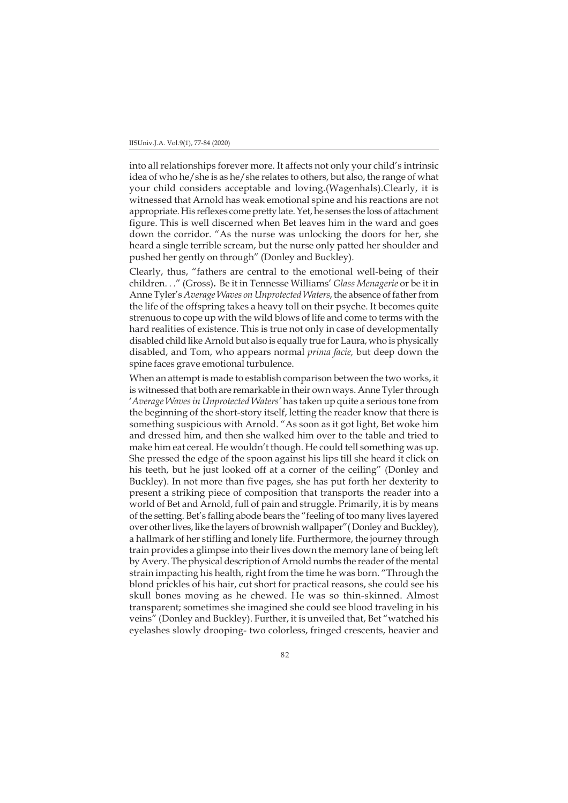#### IISUniv.J.A. Vol.9(1), 77-84 (2020)

into all relationships forever more. It affects not only your child's intrinsic idea of who he/she is as he/she relates to others, but also, the range of what your child considers acceptable and loving.(Wagenhals).Clearly, it is witnessed that Arnold has weak emotional spine and his reactions are not appropriate. His reflexes come pretty late. Yet, he senses the loss of attachment figure. This is well discerned when Bet leaves him in the ward and goes down the corridor. "As the nurse was unlocking the doors for her, she heard a single terrible scream, but the nurse only patted her shoulder and pushed her gently on through" (Donley and Buckley).

Clearly, thus, "fathers are central to the emotional well-being of their children. . ." (Gross)**.** Be it in Tennesse Williams' *Glass Menagerie* or be it in Anne Tyler's *Average Waves on Unprotected Waters*, the absence of father from the life of the offspring takes a heavy toll on their psyche. It becomes quite strenuous to cope up with the wild blows of life and come to terms with the hard realities of existence. This is true not only in case of developmentally disabled child like Arnold but also is equally true for Laura, who is physically disabled, and Tom, who appears normal *prima facie,* but deep down the spine faces grave emotional turbulence.

When an attempt is made to establish comparison between the two works, it is witnessed that both are remarkable in their own ways. Anne Tyler through '*Average Wavesin Unprotected Waters'* has taken up quite a serious tone from the beginning of the short-story itself, letting the reader know that there is something suspicious with Arnold. "As soon as it got light, Bet woke him and dressed him, and then she walked him over to the table and tried to make him eat cereal. He wouldn't though. He could tell something was up. She pressed the edge of the spoon against his lips till she heard it click on his teeth, but he just looked off at a corner of the ceiling" (Donley and Buckley). In not more than five pages, she has put forth her dexterity to present a striking piece of composition that transports the reader into a world of Bet and Arnold, full of pain and struggle. Primarily, it is by means of the setting. Bet's falling abode bears the "feeling of too many lives layered over other lives, like the layers of brownish wallpaper"( Donley and Buckley), a hallmark of her stifling and lonely life. Furthermore, the journey through train provides a glimpse into their lives down the memory lane of being left by Avery. The physical description of Arnold numbs the reader of the mental strain impacting his health, right from the time he was born. "Through the blond prickles of his hair, cut short for practical reasons, she could see his skull bones moving as he chewed. He was so thin-skinned. Almost transparent; sometimes she imagined she could see blood traveling in his veins" (Donley and Buckley). Further, it is unveiled that, Bet "watched his eyelashes slowly drooping- two colorless, fringed crescents, heavier and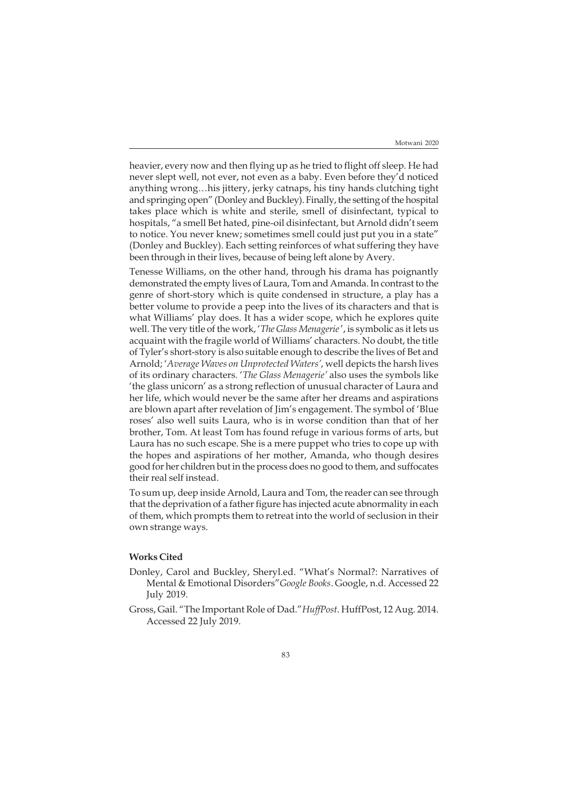heavier, every now and then flying up as he tried to flight off sleep. He had never slept well, not ever, not even as a baby. Even before they'd noticed anything wrong…his jittery, jerky catnaps, his tiny hands clutching tight and springing open" (Donley and Buckley). Finally, the setting of the hospital takes place which is white and sterile, smell of disinfectant, typical to hospitals, "a smell Bet hated, pine-oil disinfectant, but Arnold didn't seem to notice. You never knew; sometimes smell could just put you in a state" (Donley and Buckley). Each setting reinforces of what suffering they have been through in their lives, because of being left alone by Avery.

Tenesse Williams, on the other hand, through his drama has poignantly demonstrated the empty lives of Laura, Tom and Amanda. In contrast to the genre of short-story which is quite condensed in structure, a play has a better volume to provide a peep into the lives of its characters and that is what Williams' play does. It has a wider scope, which he explores quite well. The very title of the work, '*The Glass Menagerie* ', is symbolic as it lets us acquaint with the fragile world of Williams' characters. No doubt, the title of Tyler's short-story is also suitable enough to describe the lives of Bet and Arnold; '*Average Waves on Unprotected Waters'*, well depicts the harsh lives of its ordinary characters. '*The Glass Menagerie'* also uses the symbols like 'the glass unicorn' as a strong reflection of unusual character of Laura and her life, which would never be the same after her dreams and aspirations are blown apart after revelation of Jim's engagement. The symbol of 'Blue roses' also well suits Laura, who is in worse condition than that of her brother, Tom. At least Tom has found refuge in various forms of arts, but Laura has no such escape. She is a mere puppet who tries to cope up with the hopes and aspirations of her mother, Amanda, who though desires good for her children but in the process does no good to them, and suffocates their real self instead.

To sum up, deep inside Arnold, Laura and Tom, the reader can see through that the deprivation of a father figure has injected acute abnormality in each of them, which prompts them to retreat into the world of seclusion in their own strange ways.

## **Works Cited**

- Donley, Carol and Buckley, Sheryl.ed. "What's Normal?: Narratives of Mental & Emotional Disorders"*Google Books*. Google, n.d. Accessed 22 July 2019.
- Gross, Gail. "The Important Role of Dad."*HuffPost*. HuffPost, 12 Aug. 2014. Accessed 22 July 2019.